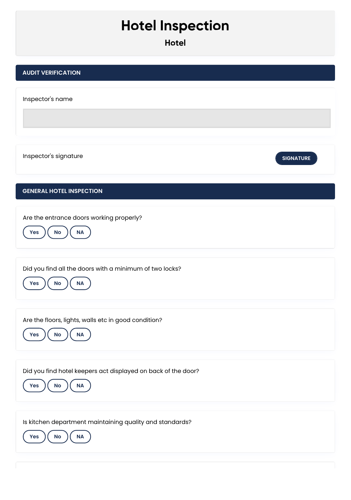## **Hotel Inspection**

**Hotel**

| <b>AUDIT VERIFICATION</b>                                                                 |                  |
|-------------------------------------------------------------------------------------------|------------------|
| Inspector's name                                                                          |                  |
| Inspector's signature                                                                     | <b>SIGNATURE</b> |
| <b>GENERAL HOTEL INSPECTION</b>                                                           |                  |
| Are the entrance doors working properly?<br><b>NA</b><br>Yes<br>No                        |                  |
|                                                                                           |                  |
| Did you find all the doors with a minimum of two locks?<br>$\sf NA$<br>No<br>Yes          |                  |
|                                                                                           |                  |
| Are the floors, lights, walls etc in good condition?<br><b>NA</b><br>Yes<br>$\mathsf{No}$ |                  |
|                                                                                           |                  |
| Did you find hotel keepers act displayed on back of the door?<br>NA<br>No<br>Yes          |                  |
|                                                                                           |                  |
| Is kitchen department maintaining quality and standards?<br>NA<br>Yes<br>No               |                  |